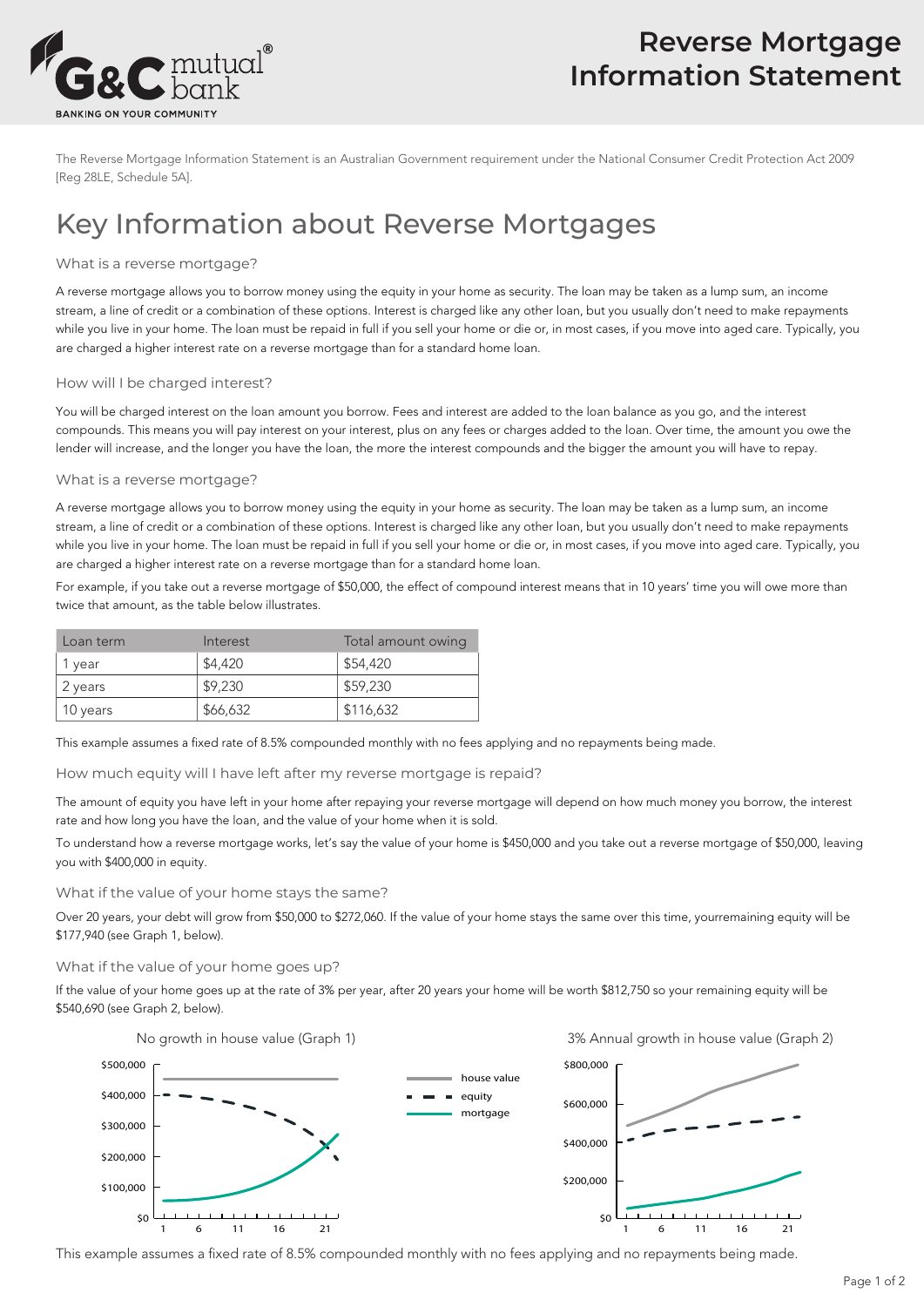

The Reverse Mortgage Information Statement is an Australian Government requirement under the National Consumer Credit Protection Act 2009 [Reg 28LE, Schedule 5A].

# Key Information about Reverse Mortgages

## What is a reverse mortgage?

A reverse mortgage allows you to borrow money using the equity in your home as security. The loan may be taken as a lump sum, an income stream, a line of credit or a combination of these options. Interest is charged like any other loan, but you usually don't need to make repayments while you live in your home. The loan must be repaid in full if you sell your home or die or, in most cases, if you move into aged care. Typically, you are charged a higher interest rate on a reverse mortgage than for a standard home loan.

#### How will I be charged interest?

You will be charged interest on the loan amount you borrow. Fees and interest are added to the loan balance as you go, and the interest compounds. This means you will pay interest on your interest, plus on any fees or charges added to the loan. Over time, the amount you owe the lender will increase, and the longer you have the loan, the more the interest compounds and the bigger the amount you will have to repay.

#### What is a reverse mortgage?

A reverse mortgage allows you to borrow money using the equity in your home as security. The loan may be taken as a lump sum, an income stream, a line of credit or a combination of these options. Interest is charged like any other loan, but you usually don't need to make repayments while you live in your home. The loan must be repaid in full if you sell your home or die or, in most cases, if you move into aged care. Typically, you are charged a higher interest rate on a reverse mortgage than for a standard home loan.

For example, if you take out a reverse mortgage of \$50,000, the effect of compound interest means that in 10 years' time you will owe more than twice that amount, as the table below illustrates.

| Loan term | Interest | Total amount owing |
|-----------|----------|--------------------|
| 1 year    | \$4,420  | \$54,420           |
| 2 years   | \$9,230  | \$59,230           |
| 10 years  | \$66,632 | \$116,632          |

This example assumes a fixed rate of 8.5% compounded monthly with no fees applying and no repayments being made.

#### How much equity will I have left after my reverse mortgage is repaid?

The amount of equity you have left in your home after repaying your reverse mortgage will depend on how much money you borrow, the interest rate and how long you have the loan, and the value of your home when it is sold.

To understand how a reverse mortgage works, let's say the value of your home is \$450,000 and you take out a reverse mortgage of \$50,000, leaving you with \$400,000 in equity.

What if the value of your home stays the same?

Over 20 years, your debt will grow from \$50,000 to \$272,060. If the value of your home stays the same over this time, yourremaining equity will be \$177,940 (see Graph 1, below).

#### What if the value of your home goes up?

If the value of your home goes up at the rate of 3% per year, after 20 years your home will be worth \$812,750 so your remaining equity will be \$540,690 (see Graph 2, below).



This example assumes a fixed rate of 8.5% compounded monthly with no fees applying and no repayments being made.